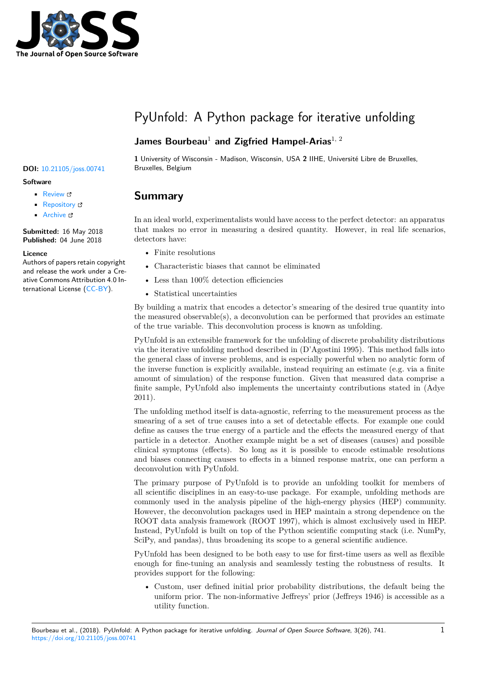

# PyUnfold: A Python package for iterative unfolding

### **James Bourbeau<sup>1</sup> and Zigfried Hampel-Arias<sup>1, 2</sup>**

#### DOI: 10.21105/joss.00741 Bruxelles, Belgium

#### **Software**

- Review C
- [Repository](https://doi.org/10.21105/joss.00741) &
- Archive &

**Subm[itted:](https://github.com/openjournals/joss-reviews/issues/741)** 16 May 2018 **Published:** [04 Ju](https://github.com/jrbourbeau/pyunfold)ne 2018

#### **Licen[ce](https://doi.org/10.5281/zenodo.1258211)**

Authors of papers retain copyright and release the work under a Creative Commons Attribution 4.0 International License (CC-BY).

**1** University of Wisconsin - Madison, Wisconsin, USA **2** IIHE, Université Libre de Bruxelles,

### **Summary**

In an ideal world, experimentalists would have access to the perfect detector: an apparatus that makes no error in measuring a desired quantity. However, in real life scenarios, detectors have:

- Finite resolutions
- Characteristic biases that cannot be eliminated
- Less than  $100\%$  detection efficiencies
- Statistical uncertainties

By building a matrix that encodes a detector's smearing of the desired true quantity into the measured observable(s), a deconvolution can be performed that provides an estimate of the true variable. This deconvolution process is known as unfolding.

PyUnfold is an extensible framework for the unfolding of discrete probability distributions via the iterative unfolding method described in (D'Agostini 1995). This method falls into the general class of inverse problems, and is especially powerful when no analytic form of the inverse function is explicitly available, instead requiring an estimate (e.g. via a finite amount of simulation) of the response function. Given that measured data comprise a finite sample, PyUnfold also implements the uncertainty contributions stated in (Adye 2011).

The unfolding method itself is data-agnostic, referring to the measurement process as the smearing of a set of true causes into a set of detectable effects. For example one could define as causes the true energy of a particle and the effects the measured energy of that particle in a detector. Another example might be a set of diseases (causes) and possible clinical symptoms (effects). So long as it is possible to encode estimable resolutions and biases connecting causes to effects in a binned response matrix, one can perform a deconvolution with PyUnfold.

The primary purpose of PyUnfold is to provide an unfolding toolkit for members of all scientific disciplines in an easy-to-use package. For example, unfolding methods are commonly used in the analysis pipeline of the high-energy physics (HEP) community. However, the deconvolution packages used in HEP maintain a strong dependence on the ROOT data analysis framework (ROOT 1997), which is almost exclusively used in HEP. Instead, PyUnfold is built on top of the Python scientific computing stack (i.e. NumPy, SciPy, and pandas), thus broadening its scope to a general scientific audience.

PyUnfold has been designed to be both easy to use for first-time users as well as flexible enough for fine-tuning an analysis and seamlessly testing the robustness of results. It provides support for the following:

• Custom, user defined initial prior probability distributions, the default being the uniform prior. The non-informative Jeffreys' prior (Jeffreys 1946) is accessible as a utility function.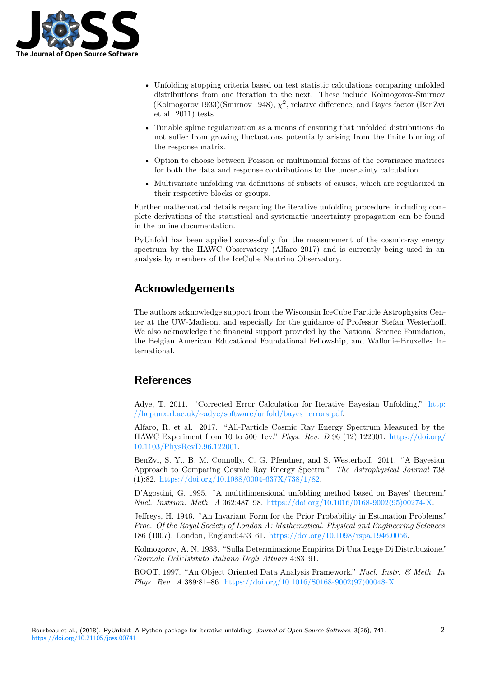

- Unfolding stopping criteria based on test statistic calculations comparing unfolded distributions from one iteration to the next. These include Kolmogorov-Smirnov (Kolmogorov 1933)(Smirnov 1948),  $\chi^2$ , relative difference, and Bayes factor (BenZvi et al. 2011) tests.
- Tunable spline regularization as a means of ensuring that unfolded distributions do not suffer from growing fluctuations potentially arising from the finite binning of the response matrix.
- Option to choose between Poisson or multinomial forms of the covariance matrices for both the data and response contributions to the uncertainty calculation.
- Multivariate unfolding via definitions of subsets of causes, which are regularized in their respective blocks or groups.

Further mathematical details regarding the iterative unfolding procedure, including complete derivations of the statistical and systematic uncertainty propagation can be found in the online documentation.

PyUnfold has been applied successfully for the measurement of the cosmic-ray energy spectrum by the HAWC Observatory (Alfaro 2017) and is currently being used in an analysis by members of the IceCube Neutrino Observatory.

## **Acknowledgements**

The authors acknowledge support from the Wisconsin IceCube Particle Astrophysics Center at the UW-Madison, and especially for the guidance of Professor Stefan Westerhoff. We also acknowledge the financial support provided by the National Science Foundation, the Belgian American Educational Foundational Fellowship, and Wallonie-Bruxelles International.

# **References**

Adye, T. 2011. "Corrected Error Calculation for Iterative Bayesian Unfolding." http: //hepunx.rl.ac.uk/~adye/software/unfold/bayes\_errors.pdf.

Alfaro, R. et al. 2017. "All-Particle Cosmic Ray Energy Spectrum Measured by the HAWC Experiment from 10 to 500 Tev." *Phys. Rev. D* 96 (12):122001. https://doi[.org/](http://hepunx.rl.ac.uk/~adye/software/unfold/bayes_errors.pdf) 10.1103/PhysRevD.96.122001.

[BenZvi, S. Y., B. M. Connolly, C. G. Pfendner, and S. We](http://hepunx.rl.ac.uk/~adye/software/unfold/bayes_errors.pdf)sterhoff. 2011. "A Bayesian Approach to Comparing Cosmic Ray Energy Spectra." *The Astrophysi[cal Journal](https://doi.org/10.1103/PhysRevD.96.122001)* 738 (1):82. https://doi.org/10.1088/0004-637X/738/1/82.

[D'Agostini, G. 1995. "A mul](https://doi.org/10.1103/PhysRevD.96.122001)tidimensional unfolding method based on Bayes' theorem." *Nucl. Instrum. Meth. A* 362:487–98. https://doi.org/10.1016/0168-9002(95)00274-X.

Jeffrey[s, H. 1946. "An Invariant Form for the Prior P](https://doi.org/10.1088/0004-637X/738/1/82)robability in Estimation Problems." *Proc. Of the Royal Society of London A: Mathematical, Physical and Engineering Sciences* 186 (1007). London, England:453–61. [https://doi.org/10.1098/rspa.1946.0056.](https://doi.org/10.1016/0168-9002(95)00274-X)

Kolmogorov, A. N. 1933. "Sulla Determinazione Empirica Di Una Legge Di Distribuzione." *Giornale Dell'Istituto Italiano Degli Attuari* 4:83–91.

ROOT. 1997. "An Object Oriented D[ata Analysis Framework."](https://doi.org/10.1098/rspa.1946.0056) *Nucl. Instr. & Meth. In Phys. Rev. A* 389:81–86. https://doi.org/10.1016/S0168-9002(97)00048-X.